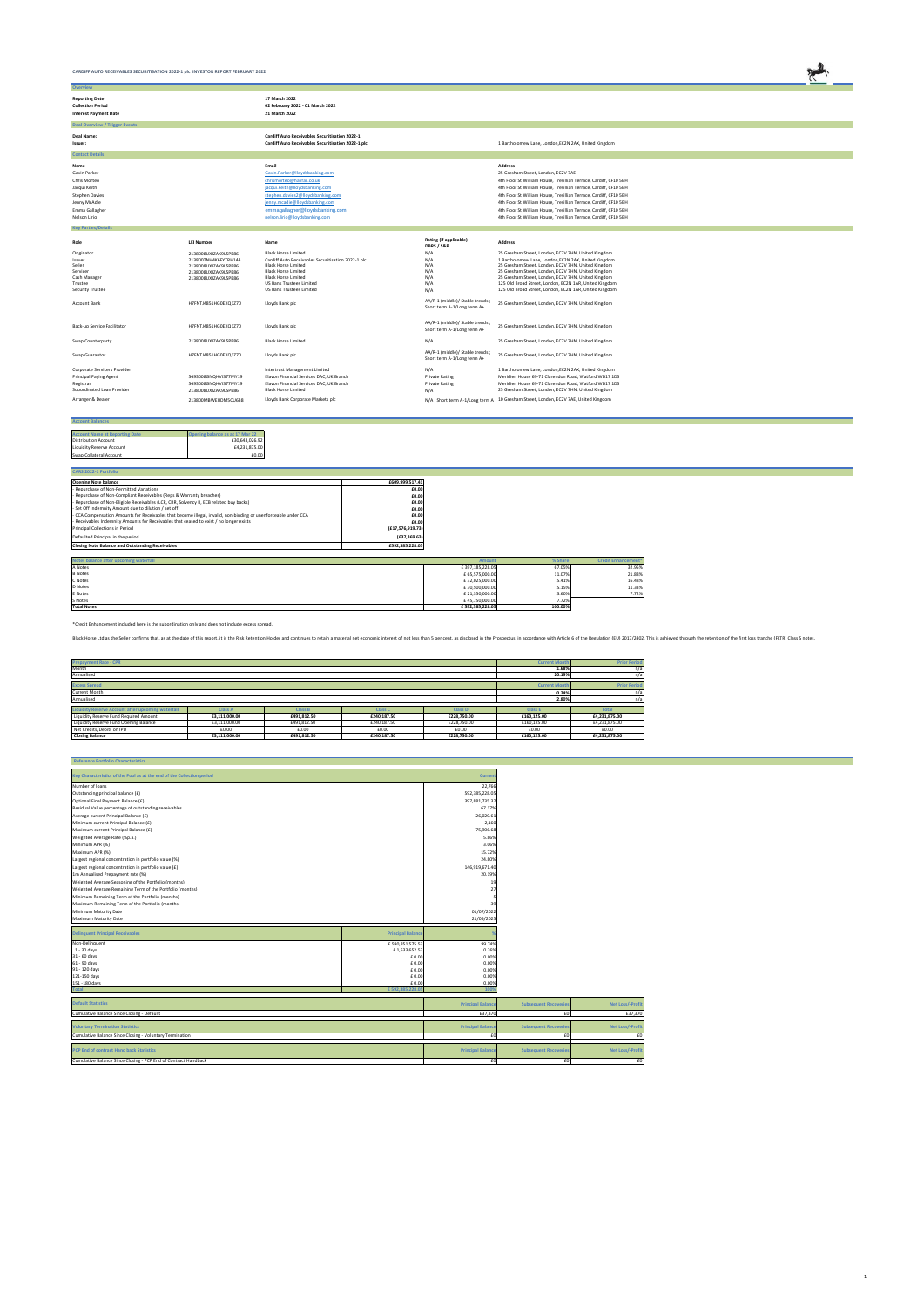| CARDIFF AUTO RECEIVABLES SECURITISATION 2022-1 plc INVESTOR REPORT FEBRUARY 2022  |                                              |                                                                                                             |                                      |                                                                                                            |  |
|-----------------------------------------------------------------------------------|----------------------------------------------|-------------------------------------------------------------------------------------------------------------|--------------------------------------|------------------------------------------------------------------------------------------------------------|--|
| <b>Overview</b>                                                                   |                                              |                                                                                                             |                                      |                                                                                                            |  |
| <b>Reporting Date</b><br><b>Collection Period</b><br><b>Interest Payment Date</b> |                                              | 17 March 2022<br>02 February 2022 - 01 March 2022<br>21 March 2022                                          |                                      |                                                                                                            |  |
| <b>Deal Overview / Trigger Events</b>                                             |                                              |                                                                                                             |                                      |                                                                                                            |  |
| Deal Name:<br>Issuer:                                                             |                                              | <b>Cardiff Auto Receivables Securitisation 2022-1</b><br>Cardiff Auto Receivables Securitisation 2022-1 plc |                                      | 1 Bartholomew Lane, London, EC2N 2AX, United Kingdom                                                       |  |
| <b>Contact Details</b>                                                            |                                              |                                                                                                             |                                      |                                                                                                            |  |
| Name                                                                              |                                              | Email                                                                                                       |                                      | <b>Address</b>                                                                                             |  |
| Gavin Parker                                                                      |                                              | Gavin.Parker@lloydsbanking.com                                                                              |                                      | 25 Gresham Street, London, EC2V 7AE                                                                        |  |
| Chris Morteo                                                                      |                                              | chrismorteo@halifax.co.uk                                                                                   |                                      | 4th Floor St William House, Tresillian Terrace, Cardiff, CF10 5BH                                          |  |
| Jacqui Keith                                                                      |                                              | jacqui.keith@lloydsbanking.com                                                                              |                                      | 4th Floor St William House, Tresillian Terrace, Cardiff, CF10 5BH                                          |  |
| <b>Stephen Davies</b>                                                             |                                              | stephen.davies2@lloydsbanking.com                                                                           |                                      | 4th Floor St William House, Tresillian Terrace, Cardiff, CF10 5BH                                          |  |
| Jenny McAdie                                                                      |                                              | jenny.mcadie@lloydsbanking.com                                                                              |                                      | 4th Floor St William House, Tresillian Terrace, Cardiff, CF10 5BH                                          |  |
| Emma Gallagher                                                                    |                                              | emmagallagher@lloydsbanking.com                                                                             |                                      | 4th Floor St William House, Tresillian Terrace, Cardiff, CF10 5BH                                          |  |
| Nelson Lirio                                                                      |                                              | nelson.lirio@lloydsbanking.com                                                                              |                                      | 4th Floor St William House, Tresillian Terrace, Cardiff, CF10 5BH                                          |  |
| <b>Key Parties/Details</b>                                                        |                                              |                                                                                                             |                                      |                                                                                                            |  |
| Role                                                                              | <b>LEI Number</b>                            | Name                                                                                                        | Rating (if applicable)<br>DBRS / S&P | <b>Address</b>                                                                                             |  |
| Originator<br>Issuer                                                              | 2138008UXJZAK9L5PE86<br>213800TNH4K6EVTRH144 | <b>Black Horse Limited</b><br>Cardiff Auto Receivables Securitisation 2022-1 plc.                           | N/A<br>N/A                           | 25 Gresham Street, London, EC2V 7HN, United Kingdom<br>1 Bartholomew Lane, London FC2N 2AX, United Kingdom |  |

| Issuer                        | 213800TNH4K6FYTRH144 | Cardiff Auto Receivables Securitisation 2022-1 plc | N/A                                                            | 1 Bartholomew Lane, London,EC2N 2AX, United Kingdom                                  |
|-------------------------------|----------------------|----------------------------------------------------|----------------------------------------------------------------|--------------------------------------------------------------------------------------|
| Seller                        | 2138008UXJZAK9L5PE86 | <b>Black Horse Limited</b>                         | N/A                                                            | 25 Gresham Street, London, EC2V 7HN, United Kingdom                                  |
| Servicer                      | 2138008UXJZAK9L5PE86 | <b>Black Horse Limited</b>                         | N/A                                                            | 25 Gresham Street, London, EC2V 7HN, United Kingdom                                  |
| Cash Manager                  | 2138008UXJZAK9L5PE86 | <b>Black Horse Limited</b>                         | N/A                                                            | 25 Gresham Street, London, EC2V 7HN, United Kingdom                                  |
| Trustee                       |                      | US Bank Trustees Limited                           | N/A                                                            | 125 Old Broad Street, London, EC2N 1AR, United Kingdom                               |
| Security Trustee              |                      | <b>US Bank Trustees Limited</b>                    | N/A                                                            | 125 Old Broad Street, London, EC2N 1AR, United Kingdom                               |
| Account Bank                  | H7FNTJ4851HG0EXQ1Z70 | Lloyds Bank plc                                    | AA/R-1 (middle)/ Stable trends;<br>Short term A-1/Long term A+ | 25 Gresham Street, London, EC2V 7HN, United Kingdom                                  |
| Back-up Service Facilitator   | H7FNTJ4851HG0EXQ1Z70 | Lloyds Bank plc                                    | AA/R-1 (middle)/ Stable trends;<br>Short term A-1/Long term A+ | 25 Gresham Street, London, EC2V 7HN, United Kingdom                                  |
| Swap Counterparty             | 2138008UXJZAK9L5PE86 | <b>Black Horse Limited</b>                         | N/A                                                            | 25 Gresham Street, London, EC2V 7HN, United Kingdom                                  |
| Swap Guarantor                | H7FNTJ4851HG0EXQ1Z70 | Lloyds Bank plc                                    | AA/R-1 (middle)/ Stable trends;<br>Short term A-1/Long term A+ | 25 Gresham Street, London, EC2V 7HN, United Kingdom                                  |
| Corporate Servicers Provider  |                      | Intertrust Management Limited                      | N/A                                                            | 1 Bartholomew Lane, London, EC2N 2AX, United Kingdom                                 |
| <b>Principal Paying Agent</b> | 5493008GNQHVI377MY19 | Elavon Financial Services DAC, UK Branch           | <b>Private Rating</b>                                          | Meridien House 69-71 Clarendon Road, Watford WD17 1DS                                |
| Registrar                     | 5493008GNQHVI377MY19 | Elavon Financial Services DAC, UK Branch           | <b>Private Rating</b>                                          | Meridien House 69-71 Clarendon Road, Watford WD17 1DS                                |
| Subordinated Loan Provider    |                      | <b>Black Horse Limited</b>                         |                                                                |                                                                                      |
|                               | 2138008UXJZAK9L5PE86 |                                                    | N/A                                                            | 25 Gresham Street, London, EC2V 7HN, United Kingdom                                  |
| Arranger & Dealer             | 213800MBWEIJDM5CU638 | Lloyds Bank Corporate Markets plc                  |                                                                | N/A ; Short term A-1/Long term A 10 Gresham Street, London, EC2V 7AE, United Kingdom |
|                               |                      |                                                    |                                                                |                                                                                      |

| <b>Account Balances</b>               |                                 |
|---------------------------------------|---------------------------------|
|                                       |                                 |
| <b>Account Name at Reporting Date</b> | Opening balance as at 17 Mar 22 |
| <b>Distribution Account</b>           | £30.643.026.92                  |
| <b>Liquidity Reserve Account</b>      | £4.231.875.00                   |
| Swap Collateral Account               | £0.00                           |

| <b>CARS 2022-1 Portfolio</b>                                                                                    |                  |                 |         |                            |
|-----------------------------------------------------------------------------------------------------------------|------------------|-----------------|---------|----------------------------|
| <b>Opening Note balance</b>                                                                                     | £609,999,517.41  |                 |         |                            |
| - Repurchase of Non-Permitted Variations                                                                        | £0.00            |                 |         |                            |
| - Repurchase of Non-Compliant Receivables (Reps & Warranty breaches)                                            | £0.00            |                 |         |                            |
| - Repurchase of Non-Eligible Receivables (LCR, CRR, Solvency II, ECB related buy backs)                         | £0.00            |                 |         |                            |
| - Set Off Indemnity Amount due to dilution / set off                                                            | £0.00            |                 |         |                            |
| - CCA Compensation Amounts for Receivables that become illegal, invalid, non-binding or unenforceable under CCA | £0.00            |                 |         |                            |
| - Receivables Indemnity Amounts for Receivables that ceased to exist / no longer exists                         | £0.00            |                 |         |                            |
| Principal Collections in Period                                                                                 | (E17,576,919.73) |                 |         |                            |
| Defaulted Principal in the period                                                                               | (E37, 369.63)    |                 |         |                            |
| <b>Closing Note Balance and Outstanding Receivables</b>                                                         | £592,385,228.05  |                 |         |                            |
|                                                                                                                 |                  |                 |         |                            |
| Notes balance after upcoming waterfall                                                                          |                  | <b>Amount</b>   | % Share | <b>Credit Enhancement*</b> |
| A Notes                                                                                                         |                  | £397,185,228.05 | 67.05%  | 32.95%                     |
| <b>B</b> Notes                                                                                                  |                  | £ 65,575,000.00 | 11.07%  | 21.88%                     |
| C Notes                                                                                                         |                  | £32,025,000.00  | 5.41%   | 16.48%                     |
| <b>D</b> Notes                                                                                                  |                  | £30,500,000.00  | 5.15%   | 11.33%                     |
| E Notes                                                                                                         |                  | £21,350,000.00  | 3.60%   | 7.72%                      |

S Notes £ 45,750,000.00 7.72% **Total Notes £ 592,385,228.05 100.00%**

| <b>Prepayment Rate - CPR</b>                              |                |                |                |                | <b>Current Montl</b> | <b>Prior Period</b> |  |
|-----------------------------------------------------------|----------------|----------------|----------------|----------------|----------------------|---------------------|--|
| Month                                                     |                |                |                |                | 1.68%                |                     |  |
| Annualised                                                |                |                |                |                | 20.19%               | n/a                 |  |
| <b>Excess Spread</b><br><b>Current Mont</b>               |                |                |                |                |                      |                     |  |
| <b>Current Month</b>                                      |                |                |                |                |                      | n/a                 |  |
| Annualised                                                |                |                |                |                |                      | n/a                 |  |
| <b>Liquidity Reserve Account after upcoming waterfall</b> | <b>Class A</b> | <b>Class B</b> | <b>Class C</b> | <b>Class D</b> | <b>Class E</b>       | <b>Total</b>        |  |
| Liquidity Reserve Fund Required Amount                    | £3,111,000.00  | £491,812.50    | £240.187.50    | £228,750.00    | £160,125.00          | £4,231,875.00       |  |
| Liquidity Reserve Fund Opening Balance                    | £3,111,000.00  | £491.812.50    | £240,187.50    | £228,750.00    | £160,125,00          | £4,231,875.00       |  |
| Net Credits/Debits on IPD                                 | £0.00          | £0.00          | £0.00          | £0.00          | £0.00                | £0.00               |  |
| <b>Closing Balance</b>                                    | £3,111,000.00  | £491,812.50    | £240,187.50    | £228,750.00    | £160,125.00          | £4,231,875.00       |  |

Black Horse Ltd as the Seller confirms that, as at the date of this report, it is the Risk Retention Holder and continues to retain a material net economic interest of not less than 5 per cent, as disclosed in the Prospect

| <b>Reference Portfolio Characteristics</b>                             |                          |                |
|------------------------------------------------------------------------|--------------------------|----------------|
| Key Characteristics of the Pool as at the end of the Collection period |                          | <b>Current</b> |
| Number of loans                                                        |                          | 22,766         |
| Outstanding principal balance (£)                                      |                          | 592,385,228.05 |
| Optional Final Payment Balance (£)                                     |                          | 397,881,735.32 |
| Residual Value percentage of outstanding receivables                   |                          | 67.17%         |
| Average current Principal Balance (£)                                  |                          | 26.020.61      |
| Minimum current Principal Balance (£)                                  |                          | 2,160          |
| Maximum current Principal Balance (£)                                  |                          | 75,906.68      |
| Weighted Average Rate (%p.a.)                                          |                          | 5.86%          |
| Minimum APR (%)                                                        |                          | 3.06%          |
| Maximum APR (%)                                                        |                          | 15.72%         |
| Largest regional concentration in portfolio value (%)                  |                          | 24.80%         |
| Largest regional concentration in portfolio value (£)                  |                          | 146.919.671.40 |
| 1m Annualised Prepayment rate (%)                                      |                          | 20.19%         |
| Weighted Average Seasoning of the Portfolio (months)                   |                          | 19             |
| Weighted Average Remaining Term of the Portfolio (months)              |                          | 27             |
| Minimum Remaining Term of the Portfolio (months)                       |                          |                |
| Maximum Remaining Term of the Portfolio (months)                       |                          | 39             |
| Minimum Maturity Date                                                  |                          | 01/07/2022     |
| Maximum Maturity Date                                                  |                          | 21/05/2025     |
|                                                                        |                          |                |
| <b>Delinquent Principal Receivables</b>                                | <b>Principal Balance</b> | %              |
| Non-Delinquent                                                         | £590,851,575.53          | 99.74%         |
| $1 - 30$ days                                                          | £1,533,652.52            | 0.26%          |
| 31 - 60 days                                                           | £0.00                    | 0.00%          |
| 61 - 90 days                                                           | £ 0.00                   | 0.00%          |
| 91 - 120 days                                                          | £0.00                    | 0.00%          |
| 121-150 days                                                           | £0.00                    | 0.00%          |
| 151 - 180 days                                                         | £0.00                    | 0.00%          |

| <b>Total</b>                                                    | £592,385,228.05 | 100%                     |                              |                         |
|-----------------------------------------------------------------|-----------------|--------------------------|------------------------------|-------------------------|
| <b>Default Statistics</b>                                       |                 | <b>Principal Balance</b> | <b>Subsequent Recoveries</b> | <b>Net Loss/-Profit</b> |
| Cumulative Balance Since Closing - Defaullt                     |                 | £37,370                  |                              | £37,370                 |
| <b>Voluntary Termination Statistics</b>                         |                 | <b>Principal Balance</b> | <b>Subsequent Recoveries</b> | <b>Net Loss/-Profit</b> |
| Cumulative Balance Since Closing - Voluntary Termination        |                 |                          |                              |                         |
| <b>PCP End of contract Hand back Statistics</b>                 |                 | <b>Principal Balance</b> | <b>Subsequent Recoveries</b> | <b>Net Loss/-Profit</b> |
| Cumulative Balance Since Closing - PCP End of Contract Handback |                 |                          |                              | £0                      |

\*Credit Enhancement included here is the subordination only and does not include excess spread.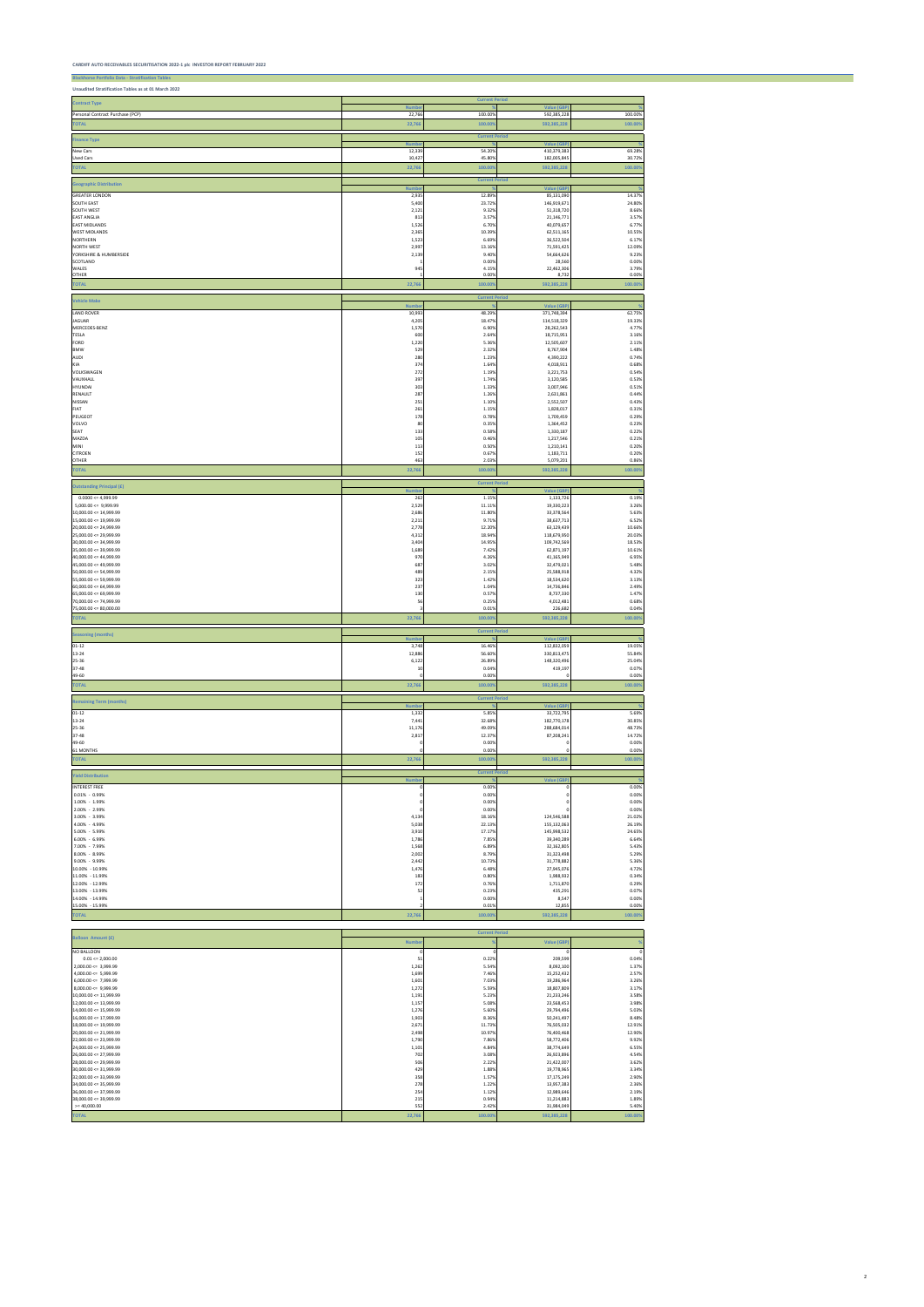**Blackhorse Portfolio Data - Stratification Tables**

| Unaudited Stratification Tables as at 01 March 2022                              |                         |                         |                                        |                         |
|----------------------------------------------------------------------------------|-------------------------|-------------------------|----------------------------------------|-------------------------|
| <b>Contract Type</b>                                                             | <b>Numbe</b>            | <b>Current Period</b>   | <b>Value (GBP</b>                      |                         |
| Personal Contract Purchase (PCP)                                                 | 22,766                  | 100.00%                 | 592,385,228                            | 100.00%                 |
| <b>TOTAL</b>                                                                     | 22,766                  | 100.00                  | 592,385,228                            | 100.009                 |
| <b>Finance Type</b>                                                              | Numb                    | <b>Current Period</b>   | Value (GE                              |                         |
| New Cars<br><b>Used Cars</b>                                                     | 12,339                  | 54.209<br>45.80%        | 410,379,38                             | 69.28%<br>30.72%        |
| <b>TOTAL</b>                                                                     | 10,42<br>22,766         | 100.00                  | 182,005,845<br>592,385,228             | 100.009                 |
|                                                                                  |                         | <b>Current Period</b>   |                                        |                         |
| <b>Geographic Distribution</b>                                                   | <b>Numb</b>             |                         | <b>Value (GBF</b>                      |                         |
| <b>GREATER LONDON</b><br><b>SOUTH EAST</b>                                       | 2,935<br>5,400          | 12.899<br>23.72%        | 85,131,090<br>146,919,671              | 14.37%<br>24.80%        |
| SOUTH WEST                                                                       | 2,12                    | 9.32%                   | 51,318,720                             | 8.669                   |
| <b>EAST ANGLIA</b><br><b>EAST MIDLANDS</b>                                       | 813<br>1,52             | 3.57%<br>6.709          | 21,146,771<br>40,079,657               | 3.57%<br>6.77%          |
| <b>WEST MIDLANDS</b><br><b>NORTHERN</b>                                          | 2,365<br>1,52           | 10.39%<br>6.69%         | 62,511,165<br>36,522,504               | 10.55%<br>6.17%         |
| <b>NORTH WEST</b>                                                                | 2,997                   | 13.16%                  | 71,591,425                             | 12.09%                  |
| YORKSHIRE & HUMBERSIDE<br>SCOTLAND                                               | 2,135                   | 9.40%<br>0.00%          | 54,664,626<br>28,560                   | 9.23%<br>0.00%          |
| WALES<br><b>OTHER</b>                                                            | 945                     | 4.15%<br>0.00%          | 22,462,306<br>8,732                    | 3.79%<br>0.00%          |
| <b>TOTAL</b>                                                                     | 22,766                  | 100.00                  | 592,385,228                            | 100.009                 |
|                                                                                  |                         | <b>Current Period</b>   |                                        |                         |
| <b>Vehicle Make</b>                                                              | <b>Numb</b>             |                         | <b>Value (GBF</b>                      |                         |
| <b>LAND ROVER</b><br>JAGUAR                                                      | 10,99<br>4,20           | 48.29%<br>18.47%        | 371,748,394<br>114,518,329             | 62.75%<br>19.33%        |
| MERCEDES-BENZ                                                                    | 1,570                   | 6.90%                   | 28,262,543                             | 4.77%                   |
| TESLA<br>FORD                                                                    | 600<br>1,220            | 2.649<br>5.36%          | 18,715,951<br>12,505,607               | 3.16%<br>2.11%          |
| <b>BMW</b>                                                                       | 529                     | 2.32%                   | 8,767,904                              | 1.48%                   |
| AUDI<br>KIA                                                                      | 280<br>374              | 1.23%<br>1.64%          | 4,390,222<br>4,018,911                 | 0.74%<br>0.68%          |
| VOLKSWAGEN                                                                       | 272                     | 1.19%                   | 3,221,753                              | 0.54%                   |
| VAUXHALL<br>HYUNDAI                                                              | 397<br>303              | 1.74%<br>1.33%          | 3,120,585<br>3,007,946                 | 0.53%<br>0.51%          |
| RENAULT<br>NISSAN                                                                | 287<br>251              | 1.269<br>1.10%          | 2,631,861<br>2,552,507                 | 0.449<br>0.43%          |
| FIAT                                                                             | 261                     | 1.15%                   | 1,828,017                              | 0.31%                   |
| PEUGEOT<br>VOLVO                                                                 | 178<br>80               | 0.78%<br>0.35%          | 1,709,459<br>1,364,452                 | 0.299<br>0.23%          |
| SEAT                                                                             | 133                     | 0.58%                   | 1,330,187                              | 0.22%                   |
| MAZDA<br>MINI                                                                    | 105<br>113              | 0.46%<br>0.50%          | 1,217,546<br>1,210,141                 | 0.21%<br>0.20%          |
| CITROEN                                                                          | 152                     | 0.67%                   | 1,183,711                              | 0.20%                   |
| OTHER<br><b>TOTAL</b>                                                            | 463<br>22,766           | 2.039<br>100.00         | 5,079,201<br>592,385,228               | 0.86%<br>100.00%        |
|                                                                                  |                         | <b>Current Period</b>   |                                        |                         |
| <b>Outstanding Principal (£)</b>                                                 | <b>Numb</b>             |                         | Value (GBF                             |                         |
| $0.0000 \le 4,999.99$<br>$5,000.00 \leq 9,999.99$                                | 262<br>2,529            | 1.15%<br>11.11%         | 1,133,726<br>19,330,223                | 0.19%<br>3.26%          |
| $10,000.00 \leq 14,999.99$                                                       | 2,68                    | 11.80%                  | 33,378,564                             | 5.63%                   |
| $15,000.00 \leq 19,999.99$<br>$20,000.00 \le 24,999.99$                          | 2,21<br>2,77            | 9.71%<br>12.209         | 38,637,713<br>63,129,439               | 6.52%<br>10.66%         |
| $25,000.00 \leq 29,999.99$                                                       | 4,312                   | 18.949                  | 118,679,950                            | 20.03%                  |
| 30,000.00 <= 34,999.99<br>$35,000.00 \leq 39,999.99$                             | 3,404<br>1,689          | 14.95%<br>7.429         | 109,742,569<br>62,871,197              | 18.53%<br>10.61%        |
| 40,000.00 <= 44,999.99<br>45,000.00 <= 49,999.99                                 | 970<br>687              | 4.269<br>3.029          | 41,165,949<br>32,479,021               | 6.95%<br>5.48%          |
| $50,000.00 \leq 54,999.99$                                                       | 489                     | 2.15%                   | 25,588,918                             | 4.32%                   |
| 55,000.00 <= 59,999.99<br>$60,000.00 \le 64,999.99$                              | 32<br>237               | 1.429<br>1.04%          | 18,534,62<br>14,736,846                | 3.139<br>2.49%          |
| $65,000.00 \le 69,999.99$                                                        | 130                     | 0.57%                   | 8,737,330                              | 1.47%                   |
| 70,000.00 <= 74,999.99<br>75,000.00 <= 80,000.00                                 | 56                      | 0.25%<br>0.01%          | 4,012,481<br>226,682                   | 0.68%<br>0.04%          |
| <b>TOTAL</b>                                                                     | 22,766                  | 100.00%                 | 592,385,228                            | 100.00%                 |
| <b>Seasoning (months)</b>                                                        |                         | <b>Current Period</b>   |                                        |                         |
| $01 - 12$                                                                        | <b>Numb</b><br>3,748    | 16.46%                  | Value (GBF<br>112,832,059              | 19.05%                  |
| 13-24                                                                            | 12,886                  | 56.60%                  | 330,813,475                            | 55.84%                  |
| 25-36<br>37-48                                                                   | 6,122<br>10             | 26.89%<br>0.04%         | 148,320,496<br>419,197                 | 25.04%<br>0.07%         |
| 49-60                                                                            | $\Omega$                | 0.00%                   |                                        | 0.00%                   |
| <b>TOTAL</b>                                                                     | 22,766                  | 100.009                 | 592,385,228                            | 100.00%                 |
| <b>Remaining Term (months)</b>                                                   | <b>Numbe</b>            | <b>Current Period</b>   | <b>Value (GBP</b>                      |                         |
| $01 - 12$                                                                        | 1,332                   | 5.85%                   | 33,722,795                             | 5.69%                   |
| $13 - 24$<br>25-36                                                               | 7,441<br>11,176         | 32.689<br>49.09%        | 182,770,178<br>288,684,014             | 30.85%<br>48.73%        |
| 37-48                                                                            | 2,817                   | 12.37%                  | 87,208,241                             | 14.72%                  |
| 49-60<br>61 MONTHS                                                               |                         | 0.00%<br>0.00%          |                                        | 0.00%<br>0.00%          |
| <b>TOTAL</b>                                                                     | 22,766                  | 100.009                 | 592,385,228                            | 100.00%                 |
| <b>Yield Distribution</b>                                                        |                         | <b>Current Period</b>   |                                        |                         |
| <b>INTEREST FREE</b>                                                             | <b>Numbe</b>            | 0.00%                   | Value (GBP                             | 0.00%                   |
| $0.01\% - 0.99\%$                                                                |                         | 0.00%                   |                                        | 0.00%                   |
| 1.00% - 1.99%<br>2.00% - 2.99%                                                   |                         | 0.00%<br>0.00%          |                                        | 0.00%<br>0.00%          |
| 3.00% - 3.99%                                                                    | 4,134                   | 18.16%                  | 124,546,588                            | 21.02%                  |
| 4.00% - 4.99%<br>5.00% - 5.99%                                                   | 5,038<br>3,910          | 22.13%<br>17.17%        | 155,132,063<br>145,998,532             | 26.19%<br>24.65%        |
| 6.00% - 6.99%<br>7.00% - 7.99%                                                   | 1,786                   | 7.85%<br>6.89%          | 39,340,289                             | 6.64%<br>5.43%          |
| 8.00% - 8.99%                                                                    | 1,568<br>2,002          | 8.79%                   | 32,162,805<br>31,323,498               | 5.29%                   |
| $9.00\% - 9.99\%$<br>10.00% - 10.99%                                             | 2,442<br>1,476          | 10.73%<br>6.48%         | 31,778,882<br>27,945,076               | 5.36%<br>4.72%          |
| 11.00% - 11.99%                                                                  | 183                     | 0.80%                   | 1,988,932                              | 0.34%                   |
| 12.00% - 12.99%<br>13.00% - 13.99%                                               | 172<br>52               | 0.76%<br>0.23%          | 1,711,870<br>435,291                   | 0.29%<br>0.07%          |
| 14.00% - 14.99%                                                                  |                         | 0.00%                   | 8,547                                  | 0.00%                   |
| 15.00% - 15.99%<br><b>TOTAL</b>                                                  | 22,766                  | 0.01%<br>100.009        | 12,855<br>592,385,228                  | 0.00%<br>100.009        |
|                                                                                  |                         |                         |                                        |                         |
|                                                                                  |                         |                         |                                        |                         |
|                                                                                  |                         | <b>Current Period</b>   |                                        |                         |
| Balloon Amount (£)                                                               | <b>Numbe</b>            |                         | <b>Value (GBP)</b>                     |                         |
| $0.01 \leq z,000.00$                                                             | 51                      | 0.22%                   | 209,599                                | 0.04%                   |
| <b>NO BALLOON</b><br>$2,000.00 \leq 3,999.99$                                    | 1,262                   | 5.54%                   | 8,092,100                              | 1.37%                   |
| $4,000.00 \leq 5,999.99$<br>$6,000.00 \leq 7,999.99$<br>$8,000.00 \leq 9,999.99$ | 1,699<br>1,601<br>1,272 | 7.46%<br>7.03%<br>5.59% | 15,252,432<br>19,286,964<br>18,807,809 | 2.57%<br>3.26%<br>3.17% |

|                            |        |         | 18,807,809  | 3.17%   |
|----------------------------|--------|---------|-------------|---------|
| $10,000.00 \leq 11,999.99$ | 1,191  | 5.23%   | 21,233,246  | 3.58%   |
| $12,000.00 \leq 13,999.99$ | 1,157  | 5.08%   | 23,568,453  | 3.98%   |
| $14,000.00 \leq 15,999.99$ | 1,276  | 5.60%   | 29,794,496  | 5.03%   |
| $16,000.00 \leq 17,999.99$ | 1,903  | 8.36%   | 50,241,497  | 8.48%   |
| $18,000.00 \leq 19,999.99$ | 2,671  | 11.73%  | 76,505,032  | 12.91%  |
| $20,000.00 \leq 21,999.99$ | 2,498  | 10.97%  | 76,400,468  | 12.90%  |
| $22,000.00 \leq 23,999.99$ | 1,790  | 7.86%   | 58,772,406  | 9.92%   |
| $24,000.00 \leq 25,999.99$ | 1,101  | 4.84%   | 38,774,649  | 6.55%   |
| $26,000.00 \leq 27,999.99$ | 702    | 3.08%   | 26,923,896  | 4.54%   |
| $28,000.00 \leq 29,999.99$ | 506    | 2.22%   | 21,422,007  | 3.62%   |
| $30,000.00 \leq 31,999.99$ | 429    | 1.88%   | 19,778,965  | 3.34%   |
| $32,000.00 \leq 33,999.99$ | 358    | 1.57%   | 17,175,249  | 2.90%   |
| $34,000.00 \leq 35,999.99$ | 278    | 1.22%   | 13,957,383  | 2.36%   |
| $36,000.00 \leq 37,999.99$ | 254    | 1.12%   | 12,989,646  | 2.19%   |
| 38,000.00 <= 39,999.99     | 215    | 0.94%   | 11,214,883  | 1.89%   |
| $>= 40,000.00$             | 552    | 2.42%   | 31,984,049  | 5.40%   |
| <b>TOTAL</b>               | 22,766 | 100.00% | 592,385,228 | 100.00% |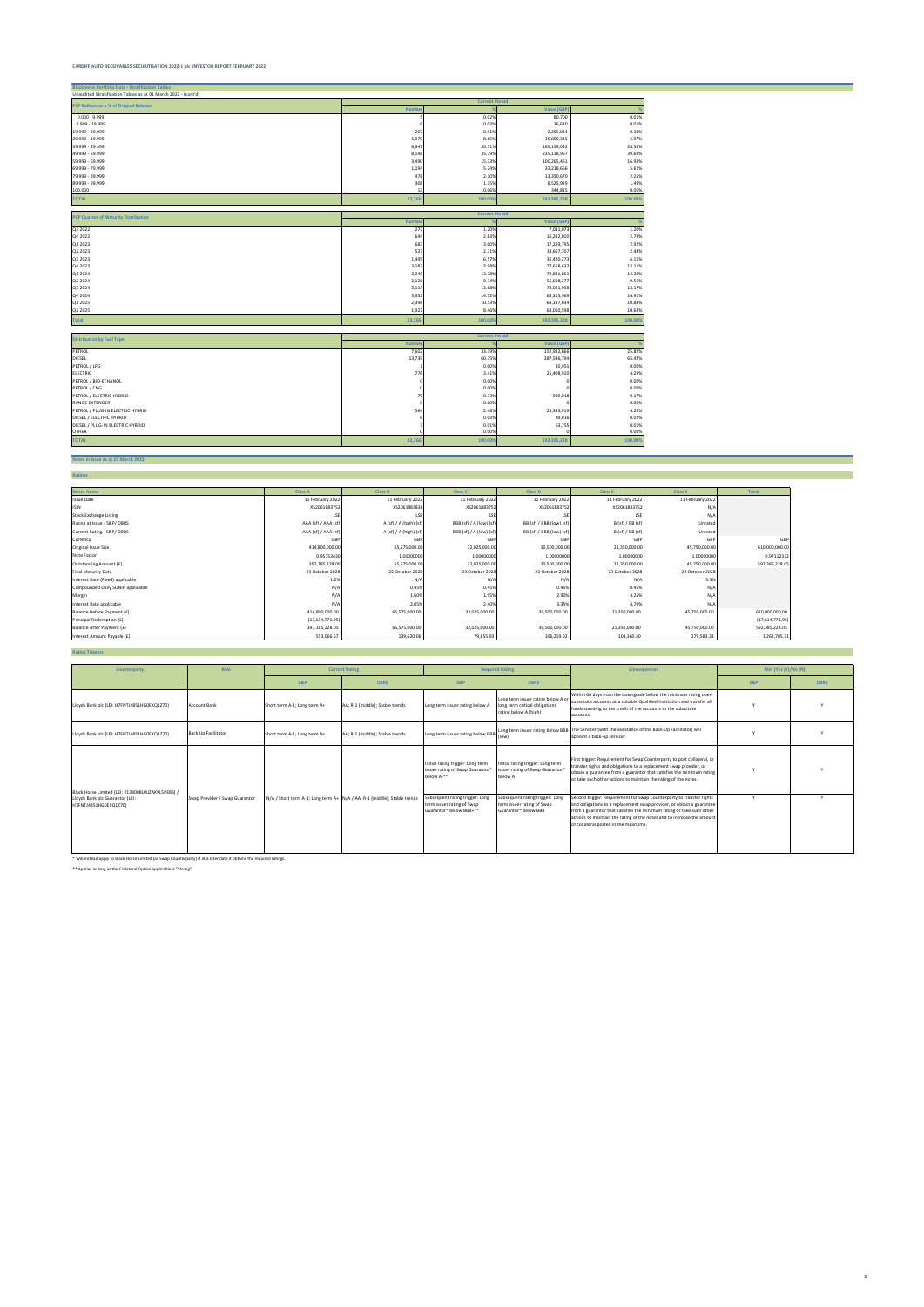| <b>Current Period</b><br>PCP Balloon as a % of Original Balance<br>Value (GB)<br><b>Numbe</b><br>0.02%<br>80,700<br>0.01%<br>0.03%<br>36,630<br>0.01%<br>207<br>0.91%<br>2,255,034<br>0.38%<br>1,970<br>30,009,315<br>5.07%<br>8.65%<br>169,159,042<br>28.56%<br>6,947<br>30.51%<br>8,148<br>35.79%<br>235,138,967<br>39.69%<br>3,490<br>100,265,461<br>15.33%<br>16.93%<br>1,194<br>33,218,666<br>5.24%<br>5.61%<br>478<br>13,350,670<br>2.25%<br>2.10%<br>8,525,929<br>308<br>1.35%<br>1.44%<br>0.06%<br>344,815<br>0.06%<br>13<br>22,766<br>592,385,228<br>100.00%<br>100.00%<br><b>Current Period</b><br><b>PCP Quarter of Maturity Distribution</b><br><b>Value (GBF</b><br><b>Numbe</b><br>273<br>7,081,073<br>1.20%<br>1.20%<br>644<br>2.83%<br>16,242,010<br>2.74%<br>17,269,795<br>2.92%<br>683<br>3.00%<br>527<br>14,667,707<br>2.48%<br>2.31%<br>1,495<br>6.57%<br>36,420,273<br>6.15%<br>3,182<br>77,658,632<br>13.11%<br>13.98%<br>72,881,861<br>3,045<br>13.38%<br>12.30%<br>2,126<br>9.34%<br>56,608,277<br>9.56%<br>13.68%<br>78,031,998<br>13.17%<br>3,114<br>3,352<br>14.72%<br>88,315,969<br>14.91%<br>2,398<br>10.53%<br>64,197,034<br>10.84%<br>1,927<br>8.46%<br>63,010,598<br>10.64%<br>100.00%<br>592,385,228<br>100.00%<br>22,766<br><b>Current Period</b><br><b>Distribution by Fuel Type</b><br><b>Numbe</b><br>Value (GB)<br>7,602<br>33.39%<br>152,932,866<br>25.82%<br>13,739<br>60.35%<br>65.42%<br>387,546,794<br>0.00%<br>10,951<br>0.00%<br>776<br>4.29%<br>3.41%<br>25,408,910<br>0.00%<br>0.00%<br>0.00%<br>0.00%<br>75<br>0.33%<br>989,018<br>0.17%<br>0.00%<br>0.00%<br>564<br>2.48%<br>25,343,919<br>4.28%<br>89,016<br>0.02%<br>0.03%<br>63,755<br>0.01%<br>DIESEL / PLUG-IN ELECTRIC HYBRID<br>0.01%<br>0.00%<br>0.00%<br>22,766<br>100.00%<br>592,385,228<br>100.00% | <b>Blackhorse Portfolio Data - Stratification Tables</b>       |  |  |
|----------------------------------------------------------------------------------------------------------------------------------------------------------------------------------------------------------------------------------------------------------------------------------------------------------------------------------------------------------------------------------------------------------------------------------------------------------------------------------------------------------------------------------------------------------------------------------------------------------------------------------------------------------------------------------------------------------------------------------------------------------------------------------------------------------------------------------------------------------------------------------------------------------------------------------------------------------------------------------------------------------------------------------------------------------------------------------------------------------------------------------------------------------------------------------------------------------------------------------------------------------------------------------------------------------------------------------------------------------------------------------------------------------------------------------------------------------------------------------------------------------------------------------------------------------------------------------------------------------------------------------------------------------------------------------------------------------------------------------------------------------------------------------------------------------------|----------------------------------------------------------------|--|--|
|                                                                                                                                                                                                                                                                                                                                                                                                                                                                                                                                                                                                                                                                                                                                                                                                                                                                                                                                                                                                                                                                                                                                                                                                                                                                                                                                                                                                                                                                                                                                                                                                                                                                                                                                                                                                                | Unaudited Stratification Tables as at 01 March 2022 - (cont'd) |  |  |
|                                                                                                                                                                                                                                                                                                                                                                                                                                                                                                                                                                                                                                                                                                                                                                                                                                                                                                                                                                                                                                                                                                                                                                                                                                                                                                                                                                                                                                                                                                                                                                                                                                                                                                                                                                                                                |                                                                |  |  |
|                                                                                                                                                                                                                                                                                                                                                                                                                                                                                                                                                                                                                                                                                                                                                                                                                                                                                                                                                                                                                                                                                                                                                                                                                                                                                                                                                                                                                                                                                                                                                                                                                                                                                                                                                                                                                |                                                                |  |  |
|                                                                                                                                                                                                                                                                                                                                                                                                                                                                                                                                                                                                                                                                                                                                                                                                                                                                                                                                                                                                                                                                                                                                                                                                                                                                                                                                                                                                                                                                                                                                                                                                                                                                                                                                                                                                                | $0.000 - 9.999$                                                |  |  |
|                                                                                                                                                                                                                                                                                                                                                                                                                                                                                                                                                                                                                                                                                                                                                                                                                                                                                                                                                                                                                                                                                                                                                                                                                                                                                                                                                                                                                                                                                                                                                                                                                                                                                                                                                                                                                | 9.999 - 19.999                                                 |  |  |
|                                                                                                                                                                                                                                                                                                                                                                                                                                                                                                                                                                                                                                                                                                                                                                                                                                                                                                                                                                                                                                                                                                                                                                                                                                                                                                                                                                                                                                                                                                                                                                                                                                                                                                                                                                                                                | 19.999 - 29.999                                                |  |  |
|                                                                                                                                                                                                                                                                                                                                                                                                                                                                                                                                                                                                                                                                                                                                                                                                                                                                                                                                                                                                                                                                                                                                                                                                                                                                                                                                                                                                                                                                                                                                                                                                                                                                                                                                                                                                                | 29.999 - 39.999                                                |  |  |
|                                                                                                                                                                                                                                                                                                                                                                                                                                                                                                                                                                                                                                                                                                                                                                                                                                                                                                                                                                                                                                                                                                                                                                                                                                                                                                                                                                                                                                                                                                                                                                                                                                                                                                                                                                                                                | 39.999 - 49.999                                                |  |  |
|                                                                                                                                                                                                                                                                                                                                                                                                                                                                                                                                                                                                                                                                                                                                                                                                                                                                                                                                                                                                                                                                                                                                                                                                                                                                                                                                                                                                                                                                                                                                                                                                                                                                                                                                                                                                                | 49.999 - 59.999                                                |  |  |
|                                                                                                                                                                                                                                                                                                                                                                                                                                                                                                                                                                                                                                                                                                                                                                                                                                                                                                                                                                                                                                                                                                                                                                                                                                                                                                                                                                                                                                                                                                                                                                                                                                                                                                                                                                                                                | 59.999 - 69.999                                                |  |  |
|                                                                                                                                                                                                                                                                                                                                                                                                                                                                                                                                                                                                                                                                                                                                                                                                                                                                                                                                                                                                                                                                                                                                                                                                                                                                                                                                                                                                                                                                                                                                                                                                                                                                                                                                                                                                                | 69.999 - 79.999                                                |  |  |
|                                                                                                                                                                                                                                                                                                                                                                                                                                                                                                                                                                                                                                                                                                                                                                                                                                                                                                                                                                                                                                                                                                                                                                                                                                                                                                                                                                                                                                                                                                                                                                                                                                                                                                                                                                                                                | 79.999 - 89.999                                                |  |  |
|                                                                                                                                                                                                                                                                                                                                                                                                                                                                                                                                                                                                                                                                                                                                                                                                                                                                                                                                                                                                                                                                                                                                                                                                                                                                                                                                                                                                                                                                                                                                                                                                                                                                                                                                                                                                                | 89.999 - 99.999                                                |  |  |
|                                                                                                                                                                                                                                                                                                                                                                                                                                                                                                                                                                                                                                                                                                                                                                                                                                                                                                                                                                                                                                                                                                                                                                                                                                                                                                                                                                                                                                                                                                                                                                                                                                                                                                                                                                                                                | 100.000                                                        |  |  |
|                                                                                                                                                                                                                                                                                                                                                                                                                                                                                                                                                                                                                                                                                                                                                                                                                                                                                                                                                                                                                                                                                                                                                                                                                                                                                                                                                                                                                                                                                                                                                                                                                                                                                                                                                                                                                | <b>TOTAL</b>                                                   |  |  |
|                                                                                                                                                                                                                                                                                                                                                                                                                                                                                                                                                                                                                                                                                                                                                                                                                                                                                                                                                                                                                                                                                                                                                                                                                                                                                                                                                                                                                                                                                                                                                                                                                                                                                                                                                                                                                |                                                                |  |  |
|                                                                                                                                                                                                                                                                                                                                                                                                                                                                                                                                                                                                                                                                                                                                                                                                                                                                                                                                                                                                                                                                                                                                                                                                                                                                                                                                                                                                                                                                                                                                                                                                                                                                                                                                                                                                                |                                                                |  |  |
|                                                                                                                                                                                                                                                                                                                                                                                                                                                                                                                                                                                                                                                                                                                                                                                                                                                                                                                                                                                                                                                                                                                                                                                                                                                                                                                                                                                                                                                                                                                                                                                                                                                                                                                                                                                                                | Q3 2022                                                        |  |  |
|                                                                                                                                                                                                                                                                                                                                                                                                                                                                                                                                                                                                                                                                                                                                                                                                                                                                                                                                                                                                                                                                                                                                                                                                                                                                                                                                                                                                                                                                                                                                                                                                                                                                                                                                                                                                                | Q4 2022                                                        |  |  |
|                                                                                                                                                                                                                                                                                                                                                                                                                                                                                                                                                                                                                                                                                                                                                                                                                                                                                                                                                                                                                                                                                                                                                                                                                                                                                                                                                                                                                                                                                                                                                                                                                                                                                                                                                                                                                | Q1 2023                                                        |  |  |
|                                                                                                                                                                                                                                                                                                                                                                                                                                                                                                                                                                                                                                                                                                                                                                                                                                                                                                                                                                                                                                                                                                                                                                                                                                                                                                                                                                                                                                                                                                                                                                                                                                                                                                                                                                                                                | Q2 2023                                                        |  |  |
|                                                                                                                                                                                                                                                                                                                                                                                                                                                                                                                                                                                                                                                                                                                                                                                                                                                                                                                                                                                                                                                                                                                                                                                                                                                                                                                                                                                                                                                                                                                                                                                                                                                                                                                                                                                                                | Q3 2023                                                        |  |  |
|                                                                                                                                                                                                                                                                                                                                                                                                                                                                                                                                                                                                                                                                                                                                                                                                                                                                                                                                                                                                                                                                                                                                                                                                                                                                                                                                                                                                                                                                                                                                                                                                                                                                                                                                                                                                                | Q4 2023                                                        |  |  |
|                                                                                                                                                                                                                                                                                                                                                                                                                                                                                                                                                                                                                                                                                                                                                                                                                                                                                                                                                                                                                                                                                                                                                                                                                                                                                                                                                                                                                                                                                                                                                                                                                                                                                                                                                                                                                | Q1 2024                                                        |  |  |
|                                                                                                                                                                                                                                                                                                                                                                                                                                                                                                                                                                                                                                                                                                                                                                                                                                                                                                                                                                                                                                                                                                                                                                                                                                                                                                                                                                                                                                                                                                                                                                                                                                                                                                                                                                                                                | Q2 2024                                                        |  |  |
|                                                                                                                                                                                                                                                                                                                                                                                                                                                                                                                                                                                                                                                                                                                                                                                                                                                                                                                                                                                                                                                                                                                                                                                                                                                                                                                                                                                                                                                                                                                                                                                                                                                                                                                                                                                                                | Q3 2024                                                        |  |  |
|                                                                                                                                                                                                                                                                                                                                                                                                                                                                                                                                                                                                                                                                                                                                                                                                                                                                                                                                                                                                                                                                                                                                                                                                                                                                                                                                                                                                                                                                                                                                                                                                                                                                                                                                                                                                                | Q4 2024                                                        |  |  |
|                                                                                                                                                                                                                                                                                                                                                                                                                                                                                                                                                                                                                                                                                                                                                                                                                                                                                                                                                                                                                                                                                                                                                                                                                                                                                                                                                                                                                                                                                                                                                                                                                                                                                                                                                                                                                | Q1 2025                                                        |  |  |
|                                                                                                                                                                                                                                                                                                                                                                                                                                                                                                                                                                                                                                                                                                                                                                                                                                                                                                                                                                                                                                                                                                                                                                                                                                                                                                                                                                                                                                                                                                                                                                                                                                                                                                                                                                                                                | Q2 2025                                                        |  |  |
|                                                                                                                                                                                                                                                                                                                                                                                                                                                                                                                                                                                                                                                                                                                                                                                                                                                                                                                                                                                                                                                                                                                                                                                                                                                                                                                                                                                                                                                                                                                                                                                                                                                                                                                                                                                                                | Total                                                          |  |  |
|                                                                                                                                                                                                                                                                                                                                                                                                                                                                                                                                                                                                                                                                                                                                                                                                                                                                                                                                                                                                                                                                                                                                                                                                                                                                                                                                                                                                                                                                                                                                                                                                                                                                                                                                                                                                                |                                                                |  |  |
|                                                                                                                                                                                                                                                                                                                                                                                                                                                                                                                                                                                                                                                                                                                                                                                                                                                                                                                                                                                                                                                                                                                                                                                                                                                                                                                                                                                                                                                                                                                                                                                                                                                                                                                                                                                                                |                                                                |  |  |
|                                                                                                                                                                                                                                                                                                                                                                                                                                                                                                                                                                                                                                                                                                                                                                                                                                                                                                                                                                                                                                                                                                                                                                                                                                                                                                                                                                                                                                                                                                                                                                                                                                                                                                                                                                                                                | PETROL                                                         |  |  |
|                                                                                                                                                                                                                                                                                                                                                                                                                                                                                                                                                                                                                                                                                                                                                                                                                                                                                                                                                                                                                                                                                                                                                                                                                                                                                                                                                                                                                                                                                                                                                                                                                                                                                                                                                                                                                | DIESEL                                                         |  |  |
|                                                                                                                                                                                                                                                                                                                                                                                                                                                                                                                                                                                                                                                                                                                                                                                                                                                                                                                                                                                                                                                                                                                                                                                                                                                                                                                                                                                                                                                                                                                                                                                                                                                                                                                                                                                                                | PETROL / LPG                                                   |  |  |
|                                                                                                                                                                                                                                                                                                                                                                                                                                                                                                                                                                                                                                                                                                                                                                                                                                                                                                                                                                                                                                                                                                                                                                                                                                                                                                                                                                                                                                                                                                                                                                                                                                                                                                                                                                                                                | <b>ELECTRIC</b>                                                |  |  |
|                                                                                                                                                                                                                                                                                                                                                                                                                                                                                                                                                                                                                                                                                                                                                                                                                                                                                                                                                                                                                                                                                                                                                                                                                                                                                                                                                                                                                                                                                                                                                                                                                                                                                                                                                                                                                | PETROL / BIO-ETHANOL                                           |  |  |
|                                                                                                                                                                                                                                                                                                                                                                                                                                                                                                                                                                                                                                                                                                                                                                                                                                                                                                                                                                                                                                                                                                                                                                                                                                                                                                                                                                                                                                                                                                                                                                                                                                                                                                                                                                                                                | PETROL / CNG                                                   |  |  |
|                                                                                                                                                                                                                                                                                                                                                                                                                                                                                                                                                                                                                                                                                                                                                                                                                                                                                                                                                                                                                                                                                                                                                                                                                                                                                                                                                                                                                                                                                                                                                                                                                                                                                                                                                                                                                | PETROL / ELECTRIC HYBRID                                       |  |  |
|                                                                                                                                                                                                                                                                                                                                                                                                                                                                                                                                                                                                                                                                                                                                                                                                                                                                                                                                                                                                                                                                                                                                                                                                                                                                                                                                                                                                                                                                                                                                                                                                                                                                                                                                                                                                                | <b>RANGE EXTENDER</b>                                          |  |  |
|                                                                                                                                                                                                                                                                                                                                                                                                                                                                                                                                                                                                                                                                                                                                                                                                                                                                                                                                                                                                                                                                                                                                                                                                                                                                                                                                                                                                                                                                                                                                                                                                                                                                                                                                                                                                                | PETROL / PLUG-IN ELECTRIC HYBRID                               |  |  |
|                                                                                                                                                                                                                                                                                                                                                                                                                                                                                                                                                                                                                                                                                                                                                                                                                                                                                                                                                                                                                                                                                                                                                                                                                                                                                                                                                                                                                                                                                                                                                                                                                                                                                                                                                                                                                | DIESEL / ELECTRIC HYBRID                                       |  |  |
|                                                                                                                                                                                                                                                                                                                                                                                                                                                                                                                                                                                                                                                                                                                                                                                                                                                                                                                                                                                                                                                                                                                                                                                                                                                                                                                                                                                                                                                                                                                                                                                                                                                                                                                                                                                                                |                                                                |  |  |
|                                                                                                                                                                                                                                                                                                                                                                                                                                                                                                                                                                                                                                                                                                                                                                                                                                                                                                                                                                                                                                                                                                                                                                                                                                                                                                                                                                                                                                                                                                                                                                                                                                                                                                                                                                                                                | <b>OTHER</b>                                                   |  |  |
|                                                                                                                                                                                                                                                                                                                                                                                                                                                                                                                                                                                                                                                                                                                                                                                                                                                                                                                                                                                                                                                                                                                                                                                                                                                                                                                                                                                                                                                                                                                                                                                                                                                                                                                                                                                                                | <b>TOTAL</b>                                                   |  |  |

**Notes in Issue as at 21 March 2022**

**Ratings**

| <b>Series Name</b>                | <b>Class A</b>      | <b>Class B</b>         | <b>Class C</b>         | <b>Class D</b>           | <b>Class E</b>   | <b>Class S</b>   | <b>Total</b>    |
|-----------------------------------|---------------------|------------------------|------------------------|--------------------------|------------------|------------------|-----------------|
| <b>Issue Date</b>                 | 11 February 2022    | 11 February 2022       | 11 February 2022       | 11 February 2022         | 11 February 2022 | 11 February 2022 |                 |
| <b>ISIN</b>                       | XS2061883752        | XS2061883836           | XS2061883752           | XS2061883752             | XS206188375      | N/l              |                 |
| <b>Stock Exchange Listing</b>     | LSE                 |                        |                        |                          |                  | $N/\rho$         |                 |
| Rating at Issue - S&P/DBRS        | AAA (sf) / AAA (sf) | A (sf) / A (high) (sf) | BBB (sf) / A (low) (sf | BB (sf) / BBB (low) (sf) | B (sf) / BB (sf) | Unrated          |                 |
| Current Rating - S&P/DBRS         | AAA (sf) / AAA (sf) | A (sf) / A (high) (sf) | BBB (sf) / A (low) (sf | BB (sf) / BBB (low) (sf) | B (sf) / BB (sf) | Unrated          |                 |
| Currency                          | GB                  | GBF                    | GB                     | GBI                      | GBI              | GBF              | GBP             |
| Original Issue Size               | 414,800,000.00      | 65,575,000.00          | 32,025,000.00          | 30,500,000.00            | 21,350,000.00    | 45,750,000.00    | 610,000,000.00  |
| Note Factor                       | 0.95753430          | 1.00000000             | 1.0000000              | 1.00000000               | 1.0000000        | 1.00000000       | 0.97112332      |
| Outstanding Amount (£)            | 397,185,228.05      | 65,575,000.00          | 32,025,000.00          | 30,500,000.00            | 21,350,000.00    | 45,750,000.00    | 592,385,228.05  |
| <b>Final Maturity Date</b>        | 23 October 2028     | 23 October 2028        | 23 October 2028        | 23 October 2028          | 23 October 2028  | 23 October 2028  |                 |
| Interest Rate (Fixed) applicable  | 1.2%                | N/A                    | N/k                    | $N/\rho$                 | N/t              | 5.5%             |                 |
| Compounded Daily SONIA applicable | N/A                 | 0.45%                  | 0.45%                  | 0.45%                    | 0.459            | N/A              |                 |
| Margin                            | N/A                 | 1.60%                  | 1.95%                  | 2.90%                    | 4.25%            | N/A              |                 |
| Interest Rate applicable          | N/F                 | 2.05%                  | 2.40%                  | 3.35%                    | 4.70%            | $N/\rho$         |                 |
| Balance Before Payment (£)        | 414,800,000.00      | 65,575,000.00          | 32,025,000.00          | 30,500,000.00            | 21,350,000.00    | 45,750,000.00    | 610,000,000.00  |
| Principal Redemption (£)          | (17,614,771.95)     |                        |                        |                          |                  |                  | (17,614,771.95) |
| Balance After Payment (£)         | 397,185,228.05      | 65,575,000.00          | 32,025,000.00          | 30,500,000.00            | 21,350,000.00    | 45,750,000.00    | 592,385,228.05  |
| Interest Amount Payable (£)       | 553,066.67          | 139,620.06             | 79,855.93              | 106,219.02               | 104,360.30       | 279,583.33       | 1,262,705.31    |

**Rating Triggers**

\* Will instead apply to Black Horse Limited (as Swap Counterparty) if at a later date it obtains the required ratings.

\*\* Applies as long as the Collateral Option applicable is "Strong"

| Counterparty                                                                                                  | Role                           | <b>Current Rating</b><br><b>Required Rating</b> |                                                                          | <b>Consequences</b>                                                                             | Met (Yes (Y)/No (N))                                                                          |                                                                                                                                                                                                                                                                                                                                           |     |             |
|---------------------------------------------------------------------------------------------------------------|--------------------------------|-------------------------------------------------|--------------------------------------------------------------------------|-------------------------------------------------------------------------------------------------|-----------------------------------------------------------------------------------------------|-------------------------------------------------------------------------------------------------------------------------------------------------------------------------------------------------------------------------------------------------------------------------------------------------------------------------------------------|-----|-------------|
|                                                                                                               |                                | S&P                                             | <b>DBRS</b>                                                              | S&P                                                                                             | <b>DBRS</b>                                                                                   |                                                                                                                                                                                                                                                                                                                                           | S&P | <b>DBRS</b> |
| Lloyds Bank plc (LEI: H7FNTJ4851HG0EXQ1Z70)                                                                   | <b>Account Bank</b>            | Short term A-1; Long term A+                    | AA: R-1 (middle): Stable trends                                          | Long term issuer rating below A                                                                 | Long term issuer rating below A or<br>long term critical obligations<br>rating below A (high) | Within 60 days from the downgrade below the minimum rating open<br>substitute accounts at a suitable Qualified Institution and transfer all<br>funds standing to the credit of the accounts to the substitute<br>accounts.                                                                                                                |     |             |
| Lloyds Bank plc (LEI: H7FNTJ4851HG0EXQ1Z70)                                                                   | <b>Back Up Facilitator</b>     | Short term A-1; Long term A+                    | AA; R-1 (middle); Stable trends                                          |                                                                                                 | (low)                                                                                         | Long term issuer rating below BBB Long term issuer rating below BBB The Servicer (with the assistance of the Back-Up Facilitator) will<br>appoint a back-up servicer                                                                                                                                                                      |     |             |
|                                                                                                               |                                |                                                 |                                                                          | Initial rating trigger: Long term<br>issuer rating of Swap Guarantor <sup>4</sup><br>below A-** | Initial rating trigger: Long term<br>issuer rating of Swap Guarantor*<br>below A              | First trigger: Requirement for Swap Counterparty to post collateral, or<br>transfer rights and obligations to a replacement swap provider, or<br>obtain a guarantee from a guarantor that satisfies the minimum rating<br>or take such other actions to maintain the rating of the notes.                                                 |     |             |
| Black Horse Limited (LEI: 2138008UXJZAK9L5PE86) /<br>Lloyds Bank plc Guarantor (LEI:<br>H7FNTJ4851HG0EXQ1Z70) | Swap Provider / Swap Guarantor |                                                 | N/A / Short term A-1; Long term A+ N/A / AA; R-1 (middle); Stable trends | Subsequent rating trigger: Long<br>term issuer rating of Swap<br>Guarantor* below BBB+**        | Subsequent rating trigger: Long<br>term issuer rating of Swap<br>Guarantor* below BBB         | Second trigger: Requirement for Swap Counterparty to transfer rights<br>and obligations to a replacement swap provider, or obtain a guarantee<br>from a guarantor that satisfies the minimum rating or take such other<br>actions to maintain the rating of the notes and to increase the amount<br>of collateral posted in the meantime. |     |             |

3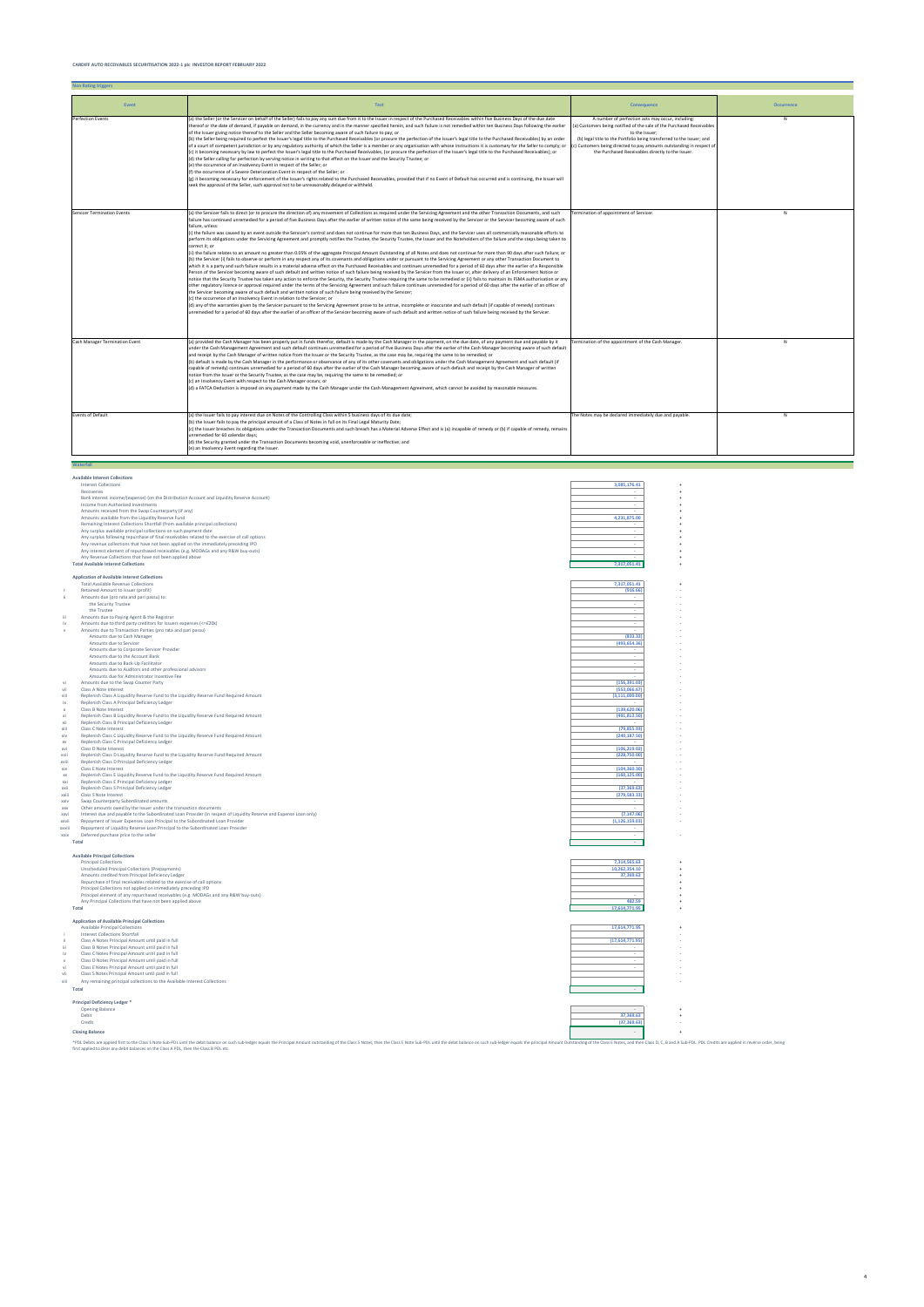|                    | <b>Available Interest Collections</b>                                                                                                                                                  |                  |  |
|--------------------|----------------------------------------------------------------------------------------------------------------------------------------------------------------------------------------|------------------|--|
|                    | <b>Interest Collections</b>                                                                                                                                                            | 3,085,176.41     |  |
|                    | Recoveries                                                                                                                                                                             |                  |  |
|                    | Bank interest income/(expense) (on the Distribution Account and Liquidity Reserve Account)                                                                                             |                  |  |
|                    | Income from Authorised Investments                                                                                                                                                     |                  |  |
|                    | Amounts received from the Swap Counterparty (if any)                                                                                                                                   |                  |  |
|                    | Amounts available from the Liquidity Reserve Fund                                                                                                                                      | 4,231,875.00     |  |
|                    | Remaining Interest Collections Shortfall (from available principal collections)                                                                                                        |                  |  |
|                    | Any surplus available principal collections on such payment date                                                                                                                       |                  |  |
|                    | Any surplus following repurchase of final receivables related to the exercise of call options                                                                                          |                  |  |
|                    | Any revenue collections that have not been applied on the immediately preceding IPD                                                                                                    |                  |  |
|                    | Any interest element of repurchased receivables (e.g. MODAGs and any R&W buy-outs)                                                                                                     |                  |  |
|                    | Any Revenue Collections that have not been applied above                                                                                                                               |                  |  |
|                    | <b>Total Available Interest Collections</b>                                                                                                                                            | 7,317,051.41     |  |
|                    | <b>Application of Available Interest Collections</b>                                                                                                                                   |                  |  |
|                    | <b>Total Available Revenue Collections</b>                                                                                                                                             | 7,317,051.41     |  |
|                    | Retained Amount to issuer (profit)                                                                                                                                                     | (916.66)         |  |
| ii.                | Amounts due (pro rata and pari passu) to:                                                                                                                                              |                  |  |
|                    | the Security Trustee                                                                                                                                                                   |                  |  |
|                    | the Trustee                                                                                                                                                                            | ٠                |  |
| iii.               | Amounts due to Paying Agent & the Registrar                                                                                                                                            |                  |  |
| iv                 | Amounts due to third party creditors for Issuers expenses (<=£20k)                                                                                                                     |                  |  |
|                    | Amounts due to Transaction Parties (pro rata and pari passu)                                                                                                                           |                  |  |
|                    | Amounts due to Cash Manager                                                                                                                                                            | (833.33)         |  |
|                    | Amounts due to Servicer                                                                                                                                                                | (493, 654.36)    |  |
|                    | Amounts due to Corporate Servicer Provider                                                                                                                                             |                  |  |
|                    | Amounts due to the Account Bank                                                                                                                                                        |                  |  |
|                    | Amounts due to Back-Up Facilitator                                                                                                                                                     |                  |  |
|                    | Amounts due to Auditors and other professional advisors                                                                                                                                |                  |  |
|                    | Amounts due for Administrator Incentive Fee                                                                                                                                            |                  |  |
| vi                 | Amounts due to the Swap Counter Party                                                                                                                                                  | (156, 391.03)    |  |
| vii                | Class A Note Interest                                                                                                                                                                  | (553.066.67)     |  |
| viii               | Replenish Class A Liquidity Reserve Fund to the Liquidity Reserve Fund Required Amount                                                                                                 | (3, 111, 000.00) |  |
| ix                 | Replenish Class A Principal Deficiency Ledger                                                                                                                                          |                  |  |
| X                  | Class B Note Interest                                                                                                                                                                  | (139, 620.06)    |  |
| xi                 | Replenish Class B Liquidity Reserve Fund to the Liquidity Reserve Fund Required Amount                                                                                                 | (491, 812.50)    |  |
| xii                | Replenish Class B Principal Deficiency Ledger                                                                                                                                          |                  |  |
| xiii               | Class C Note Interest                                                                                                                                                                  | (79, 855.93)     |  |
| xiv                | Replenish Class C Liquidity Reserve Fund to the Liquidity Reserve Fund Required Amount                                                                                                 | (240, 187.50)    |  |
| <b>XV</b>          | Replenish Class C Principal Deficiency Ledger                                                                                                                                          |                  |  |
| xvi                | Class D Note Interest                                                                                                                                                                  | (106.219.02)     |  |
| xvii               | Replenish Class D Liquidity Reserve Fund to the Liquidity Reserve Fund Required Amount                                                                                                 | (228,750.00)     |  |
| xviii              | Replenish Class D Principal Deficiency Ledger                                                                                                                                          |                  |  |
| xix                | Class E Note Interest                                                                                                                                                                  | (104, 360.30)    |  |
| $\mathsf{xx}$      | Replenish Class E Liquidity Reserve Fund to the Liquidity Reserve Fund Required Amount                                                                                                 | (160, 125.00)    |  |
| xxi                | Replenish Class E Principal Deficiency Ledger                                                                                                                                          |                  |  |
| xxii               | Replenish Class S Principal Deficiency Ledger                                                                                                                                          | (37, 369.63)     |  |
| xxiii              | Class S Note Interest                                                                                                                                                                  | (279, 583.33)    |  |
| xxiv               | Swap Counterparty Subordinated amounts                                                                                                                                                 |                  |  |
| <b>XXV</b><br>xxvi | Other amounts owed by the Issuer under the transaction documents<br>Interest due and payable to the Subordinated Loan Provider (in respect of Liquidity Reserve and Expense Loan only) | (7, 147.06)      |  |
| xxvii              | Repayment of Issuer Expenses Loan Principal to the Subordinated Loan Provider                                                                                                          | (1, 126, 159.03) |  |
| xxviii             | Repayment of Liquidity Reserve Loan Principal to the Subordinated Loan Provider                                                                                                        |                  |  |
| xxix               |                                                                                                                                                                                        | ×.               |  |
|                    | Deferred purchase price to the seller<br>Total                                                                                                                                         |                  |  |
|                    |                                                                                                                                                                                        |                  |  |
|                    | <b>Available Principal Collections</b>                                                                                                                                                 |                  |  |
|                    | <b>Principal Collections</b>                                                                                                                                                           | 7,314,565.63     |  |
|                    | Unscheduled Principal Collections (Prepayments)                                                                                                                                        | 10,262,354.10    |  |
|                    | Amounts credited from Principal Deficiency Ledger                                                                                                                                      | 37,369.63        |  |
|                    | Repurchase of final receivables related to the exercise of call options                                                                                                                |                  |  |
|                    | Principal Collections not applied on immediately preceding IPD                                                                                                                         |                  |  |
|                    | Principal element of any repurchased receivables (e.g. MODAGs and any R&W buy-outs)                                                                                                    |                  |  |
|                    | Any Principal Collections that have not been applied above                                                                                                                             | 482.59           |  |
|                    | Total                                                                                                                                                                                  | 17,614,771.95    |  |
|                    |                                                                                                                                                                                        |                  |  |
|                    | <b>Application of Available Principal Collections</b>                                                                                                                                  |                  |  |
|                    | Available Principal Collections                                                                                                                                                        | 17,614,771.95    |  |
|                    | Interest Collections Shortfall                                                                                                                                                         |                  |  |
| ii                 | Class A Notes Principal Amount until paid in full                                                                                                                                      | (17,614,771.95)  |  |
| iii                | Class B Notes Principal Amount until paid in full                                                                                                                                      |                  |  |
| iv                 | Class C Notes Principal Amount until paid in full                                                                                                                                      |                  |  |
| $\vee$             | Class D Notes Principal Amount until paid in full                                                                                                                                      |                  |  |
| vi                 | Class E Notes Principal Amount until paid in full                                                                                                                                      |                  |  |
| vii                | Class S Notes Principal Amount until paid in full                                                                                                                                      |                  |  |
| viii               | Any remaining principal collections to the Available Interest Collections                                                                                                              |                  |  |
|                    | Total                                                                                                                                                                                  |                  |  |

| <b>Principal Deficiency Ledger *</b> |              |  |
|--------------------------------------|--------------|--|
| <b>Opening Balance</b>               |              |  |
| Debit                                | 37,369.63    |  |
| Credit                               | (37, 369.63) |  |
| <b>Closing Balance</b>               |              |  |

\*PDL behavior behavior behavior but the distance on such sub-ledger equals the Principal Amount outstanding of the Class S Notes, then the Class E Note sub-PDL until the debit balance on such sub-edger equals the principal

| <b>Non Rating triggers</b>         |                                                                                                                                                                                                                                                                                                                                                                                                                                                                                                                                                                                                                                                                                                                                                                                                                                                                                                                                                                                                                                                                                                                                                                                                                                                                                                                                                                                                                                                                                                                                                                                                                                                                                                                                                                                                                                                                                                                                                                                                                                                                                                                                                                                                                                                                                                                                                                                                                                                                                                                                                                              |                                                                                                                                                                                                                                                                                                                                                     |                   |
|------------------------------------|------------------------------------------------------------------------------------------------------------------------------------------------------------------------------------------------------------------------------------------------------------------------------------------------------------------------------------------------------------------------------------------------------------------------------------------------------------------------------------------------------------------------------------------------------------------------------------------------------------------------------------------------------------------------------------------------------------------------------------------------------------------------------------------------------------------------------------------------------------------------------------------------------------------------------------------------------------------------------------------------------------------------------------------------------------------------------------------------------------------------------------------------------------------------------------------------------------------------------------------------------------------------------------------------------------------------------------------------------------------------------------------------------------------------------------------------------------------------------------------------------------------------------------------------------------------------------------------------------------------------------------------------------------------------------------------------------------------------------------------------------------------------------------------------------------------------------------------------------------------------------------------------------------------------------------------------------------------------------------------------------------------------------------------------------------------------------------------------------------------------------------------------------------------------------------------------------------------------------------------------------------------------------------------------------------------------------------------------------------------------------------------------------------------------------------------------------------------------------------------------------------------------------------------------------------------------------|-----------------------------------------------------------------------------------------------------------------------------------------------------------------------------------------------------------------------------------------------------------------------------------------------------------------------------------------------------|-------------------|
| Event                              | <b>Test</b>                                                                                                                                                                                                                                                                                                                                                                                                                                                                                                                                                                                                                                                                                                                                                                                                                                                                                                                                                                                                                                                                                                                                                                                                                                                                                                                                                                                                                                                                                                                                                                                                                                                                                                                                                                                                                                                                                                                                                                                                                                                                                                                                                                                                                                                                                                                                                                                                                                                                                                                                                                  | <b>Consequence</b>                                                                                                                                                                                                                                                                                                                                  | <b>Occurrence</b> |
| Perfection Events                  | (a) the Seller (or the Servicer on behalf of the Seller) fails to pay any sum due from it to the Issuer in respect of the Purchased Receivables within five Business Days of the due date<br>thereof or the date of demand, if payable on demand, in the currency and in the manner specified herein, and such failure is not remedied within ten Business Days following the earlier<br>of the Issuer giving notice thereof to the Seller and the Seller becoming aware of such failure to pay; or<br>(b) the Seller being required to perfect the Issuer's legal title to the Purchased Receivables (or procure the perfection of the Issuer's legal title to the Purchased Receivables) by an order<br>of a court of competent jurisdiction or by any regulatory authority of which the Seller is a member or any organisation with whose instructions it is customary for the Seller to comply; or<br>(c) it becoming necessary by law to perfect the Issuer's legal title to the Purchased Receivables, (or procure the perfection of the Issuer's legal title to the Purchased Receivables); or<br>(d) the Seller calling for perfection by serving notice in writing to that effect on the Issuer and the Security Trustee; or<br>(e) the occurrence of an Insolvency Event in respect of the Seller; or<br>(f) the occurrence of a Severe Deterioration Event in respect of the Seller; or<br>(g) it becoming necessary for enforcement of the Issuer's rights related to the Purchased Receivables, provided that if no Event of Default has occurred and is continuing, the Issuer will<br>seek the approval of the Seller, such approval not to be unreasonably delayed or withheld.                                                                                                                                                                                                                                                                                                                                                                                                                                                                                                                                                                                                                                                                                                                                                                                                                                                                              | A number of perfection acts may occur, including:<br>(a) Customers being notified of the sale of the Purchased Receivables<br>to the Issuer:<br>(b) legal title to the Portfolio being transferred to the Issuer; and<br>(c) Customers being directed to pay amounts outstanding in respect of<br>the Purchased Receivables directly to the Issuer. | N                 |
| <b>Servicer Termination Events</b> | (a) the Servicer fails to direct (or to procure the direction of) any movement of Collections as required under the Servicing Agreement and the other Transaction Documents, and such<br>failure has continued unremedied for a period of five Business Days after the earlier of written notice of the same being received by the Servicer or the Servicer becoming aware of such<br>failure, unless:<br>(i) the failure was caused by an event outside the Servicer's control and does not continue for more than ten Business Days, and the Servicer uses all commercially reasonable efforts to<br>perform its obligations under the Servicing Agreement and promptly notifies the Trustee, the Security Trustee, the Issuer and the Noteholders of the failure and the steps being taken to<br>correct it; or<br>(ii) the failure relates to an amount no greater than 0.05% of the aggregate Principal Amount Outstanding of all Notes and does not continue for more than 90 days after such failure; or<br>(b) the Servicer (i) fails to observe or perform in any respect any of its covenants and obligations under or pursuant to the Servicing Agreement or any other Transaction Document to<br>which it is a party and such failure results in a material adverse effect on the Purchased Receivables and continues unremedied for a period of 60 days after the earlier of a Responsible<br>Person of the Servicer becoming aware of such default and written notice of such failure being received by the Servicer from the Issuer or, after delivery of an Enforcement Notice or<br>notice that the Security Trustee has taken any action to enforce the Security, the Security Trustee requiring the same to be remedied or (ii) fails to maintain its FSMA authorisation or any<br>other regulatory licence or approval required under the terms of the Servicing Agreement and such failure continues unremedied for a period of 60 days after the earlier of an officer of<br>the Servicer becoming aware of such default and written notice of such failure being received by the Servicer;<br>(c) the occurrence of an Insolvency Event in relation to the Servicer; or<br>(d) any of the warranties given by the Servicer pursuant to the Servicing Agreement prove to be untrue, incomplete or inaccurate and such default (if capable of remedy) continues<br>unremedied for a period of 60 days after the earlier of an officer of the Servicer becoming aware of such default and written notice of such failure being received by the Servicer. | Termination of appointment of Servicer.                                                                                                                                                                                                                                                                                                             | N                 |
| Cash Manager Termination Event     | (a) provided the Cash Manager has been properly put in funds therefor, default is made by the Cash Manager in the payment, on the due date, of any payment due and payable by it<br>under the Cash Management Agreement and such default continues unremedied for a period of five Business Days after the earlier of the Cash Manager becoming aware of such default<br>and receipt by the Cash Manager of written notice from the Issuer or the Security Trustee, as the case may be, requiring the same to be remedied; or<br>(b) default is made by the Cash Manager in the performance or observance of any of its other covenants and obligations under the Cash Management Agreement and such default (if<br>capable of remedy) continues unremedied for a period of 60 days after the earlier of the Cash Manager becoming aware of such default and receipt by the Cash Manager of written<br>notice from the Issuer or the Security Trustee, as the case may be, requiring the same to be remedied; or<br>(c) an Insolvency Event with respect to the Cash Manager occurs; or<br>(d) a FATCA Deduction is imposed on any payment made by the Cash Manager under the Cash Management Agreement, which cannot be avoided by reasonable measures.                                                                                                                                                                                                                                                                                                                                                                                                                                                                                                                                                                                                                                                                                                                                                                                                                                                                                                                                                                                                                                                                                                                                                                                                                                                                                                                     | Termination of the appointment of the Cash Manager.                                                                                                                                                                                                                                                                                                 | N                 |
| <b>Events of Default</b>           | (a) the Issuer fails to pay interest due on Notes of the Controlling Class within 5 business days of its due date;<br>(b) the Issuer fails to pay the principal amount of a Class of Notes in full on its Final Legal Maturity Date;<br>(c) the Issuer breaches its obligations under the Transaction Documents and such breach has a Material Adverse Effect and is (a) incapable of remedy or (b) if capable of remedy, remains<br>unremedied for 60 calendar days;<br>(d) the Security granted under the Transaction Documents becoming void, unenforceable or ineffective; and<br>(e) an Insolvency Event regarding the Issuer.                                                                                                                                                                                                                                                                                                                                                                                                                                                                                                                                                                                                                                                                                                                                                                                                                                                                                                                                                                                                                                                                                                                                                                                                                                                                                                                                                                                                                                                                                                                                                                                                                                                                                                                                                                                                                                                                                                                                          | The Notes may be declared immediately due and payable.                                                                                                                                                                                                                                                                                              | N                 |
| Waterfall                          |                                                                                                                                                                                                                                                                                                                                                                                                                                                                                                                                                                                                                                                                                                                                                                                                                                                                                                                                                                                                                                                                                                                                                                                                                                                                                                                                                                                                                                                                                                                                                                                                                                                                                                                                                                                                                                                                                                                                                                                                                                                                                                                                                                                                                                                                                                                                                                                                                                                                                                                                                                              |                                                                                                                                                                                                                                                                                                                                                     |                   |

4